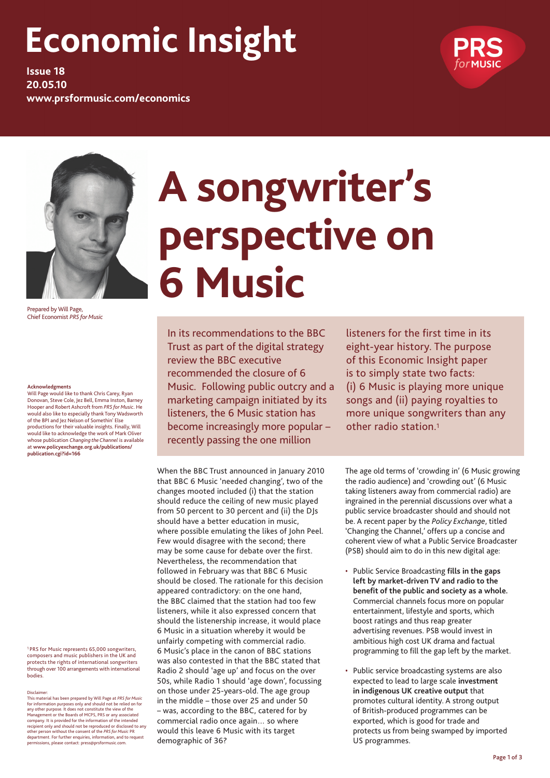## **Economic Insight**

**Issue 18 20.05.10 www.prsformusic.com/economics**



Prepared by Will Page, Chief Economist *PRS for Music*

#### **Acknowledgments**

Will Page would like to thank Chris Carey, Ryan Donovan, Steve Cole, Jez Bell, Emma Inston, Barney Hooper and Robert Ashcroft from *PRS for Music*. He would also like to especially thank Tony Wadsworth of the BPI and Jez Nelson of Somethin' Else productions for their valuable insights. Finally, Will would like to acknowledge the work of Mark Oliver whose publication *Changing the Channel* is available at **www.policyexchange.org.uk/publications/ publication.cgi?id=166**

1 PRS for Music represents 65,000 songwriters, composers and music publishers in the UK and protects the rights of international songwriters through over 100 arrangements with international bodies.

Disclaimer: This material has been prepared by Will Page at *PRS for Music*  for information purposes only and should not be relied on for any other purpose. It does not constitute the view of the<br>Management or the Boards of MCPS, PRS or any associated<br>company. It is provided for the information of the intended<br>recipient only and should not be reproduced or d

# **A songwriter's perspective on 6 Music**

In its recommendations to the BBC Trust as part of the digital strategy review the BBC executive recommended the closure of 6 Music. Following public outcry and a marketing campaign initiated by its listeners, the 6 Music station has become increasingly more popular – recently passing the one million

When the BBC Trust announced in January 2010 that BBC 6 Music 'needed changing', two of the changes mooted included (i) that the station should reduce the ceiling of new music played from 50 percent to 30 percent and (ii) the DJs should have a better education in music, where possible emulating the likes of John Peel. Few would disagree with the second; there may be some cause for debate over the first. Nevertheless, the recommendation that followed in February was that BBC 6 Music should be closed. The rationale for this decision appeared contradictory: on the one hand, the BBC claimed that the station had too few listeners, while it also expressed concern that should the listenership increase, it would place 6 Music in a situation whereby it would be unfairly competing with commercial radio. 6 Music's place in the canon of BBC stations was also contested in that the BBC stated that Radio 2 should 'age up' and focus on the over 50s, while Radio 1 should 'age down', focussing on those under 25-years-old. The age group in the middle – those over 25 and under 50 – was, according to the BBC, catered for by commercial radio once again… so where would this leave 6 Music with its target demographic of 36?

listeners for the first time in its eight-year history. The purpose of this Economic Insight paper is to simply state two facts: (i) 6 Music is playing more unique songs and (ii) paying royalties to more unique songwriters than any other radio station.1

The age old terms of 'crowding in' (6 Music growing the radio audience) and 'crowding out' (6 Music taking listeners away from commercial radio) are ingrained in the perennial discussions over what a public service broadcaster should and should not be. A recent paper by the *Policy Exchange*, titled 'Changing the Channel,' offers up a concise and coherent view of what a Public Service Broadcaster (PSB) should aim to do in this new digital age:

- • Public Service Broadcasting **fills in the gaps left by market-driven TV and radio to the benefit of the public and society as a whole.**  Commercial channels focus more on popular entertainment, lifestyle and sports, which boost ratings and thus reap greater advertising revenues. PSB would invest in ambitious high cost UK drama and factual programming to fill the gap left by the market.
- Public service broadcasting systems are also expected to lead to large scale **investment in indigenous UK creative output** that promotes cultural identity. A strong output of British-produced programmes can be exported, which is good for trade and protects us from being swamped by imported US programmes.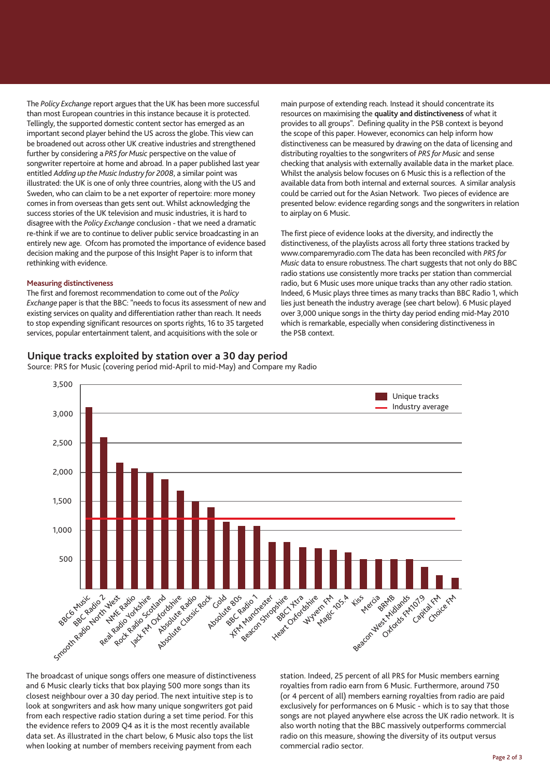The *Policy Exchange* report argues that the UK has been more successful than most European countries in this instance because it is protected. Tellingly, the supported domestic content sector has emerged as an important second player behind the US across the globe. This view can be broadened out across other UK creative industries and strengthened further by considering a *PRS for Music* perspective on the value of songwriter repertoire at home and abroad. In a paper published last year entitled *Adding up the Music Industry for 2008*, a similar point was illustrated: the UK is one of only three countries, along with the US and Sweden, who can claim to be a net exporter of repertoire: more money comes in from overseas than gets sent out. Whilst acknowledging the success stories of the UK television and music industries, it is hard to disagree with the *Policy Exchange* conclusion - that we need a dramatic re-think if we are to continue to deliver public service broadcasting in an entirely new age. Ofcom has promoted the importance of evidence based decision making and the purpose of this Insight Paper is to inform that rethinking with evidence.

#### **Measuring distinctiveness**

The first and foremost recommendation to come out of the *Policy Exchange* paper is that the BBC: "needs to focus its assessment of new and existing services on quality and differentiation rather than reach. It needs to stop expending significant resources on sports rights, 16 to 35 targeted services, popular entertainment talent, and acquisitions with the sole or

#### **Unique tracks exploited by station over a 30 day period**

Source: PRS for Music (covering period mid-April to mid-May) and Compare my Radio

Smooth Radio 2 April 1404 Real Radio Critics Rock Pasio Scotland Jack FM Oxfordshire Absolute Radio Rock<br>Kolowite Cassic Rock<br>Absolute Cassic<br>Absolute P Absolute 80s BBC Radio Way Manchester Beacon Shropshire Heart Of the Atlantic Wyvern FM Magic 105.4 Region Mest Kodsky Oxfords FMQ19 Capital FM Choice FM 3,500 3,000 2,500 2,000 1,500 1,000 500 Unique tracks Industry average

The broadcast of unique songs offers one measure of distinctiveness and 6 Music clearly ticks that box playing 500 more songs than its closest neighbour over a 30 day period. The next intuitive step is to look at songwriters and ask how many unique songwriters got paid from each respective radio station during a set time period. For this the evidence refers to 2009 Q4 as it is the most recently available data set. As illustrated in the chart below, 6 Music also tops the list when looking at number of members receiving payment from each

station. Indeed, 25 percent of all PRS for Music members earning royalties from radio earn from 6 Music. Furthermore, around 750 (or 4 percent of all) members earning royalties from radio are paid exclusively for performances on 6 Music - which is to say that those songs are not played anywhere else across the UK radio network. It is also worth noting that the BBC massively outperforms commercial radio on this measure, showing the diversity of its output versus commercial radio sector.

main purpose of extending reach. Instead it should concentrate its resources on maximising the **quality and distinctiveness** of what it provides to all groups". Defining quality in the PSB context is beyond the scope of this paper. However, economics can help inform how distinctiveness can be measured by drawing on the data of licensing and distributing royalties to the songwriters of *PRS for Music* and sense checking that analysis with externally available data in the market place. Whilst the analysis below focuses on 6 Music this is a reflection of the available data from both internal and external sources. A similar analysis could be carried out for the Asian Network. Two pieces of evidence are presented below: evidence regarding songs and the songwriters in relation

The first piece of evidence looks at the diversity, and indirectly the distinctiveness, of the playlists across all forty three stations tracked by www.comparemyradio.com The data has been reconciled with *PRS for Music* data to ensure robustness. The chart suggests that not only do BBC radio stations use consistently more tracks per station than commercial radio, but 6 Music uses more unique tracks than any other radio station. Indeed, 6 Music plays three times as many tracks than BBC Radio 1, which lies just beneath the industry average (see chart below). 6 Music played over 3,000 unique songs in the thirty day period ending mid-May 2010 which is remarkable, especially when considering distinctiveness in

to airplay on 6 Music.

the PSB context.